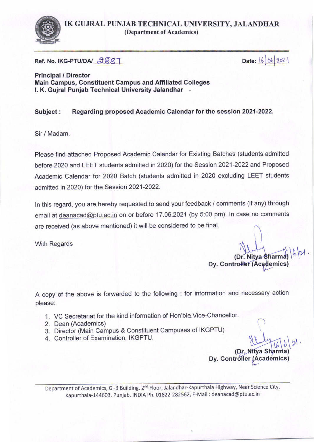

IK GUJRAL PUNJAB TECHNICAL UNIVERSITY. JALANDHAR (Department of Academics)

Ref. No. IKG-PTU/DA/ 2887

Date: 16 06 2021

Principal / Director Main Campus, Gonstituent Campus and Affiliated Colleges l. K. Gujral Punjab Technical University Jalandhar

Subject : Regarding proposed Academic Calendar for the session 2021-2022.

Sir / Madam,

Please find attached Proposed Academic Calendar for Existing Batches (students admitted before 2020 and LEET students admitted in 2020) for the Session 2021-2022 and Proposed Academic Calendar for 2020 Batch (students admitted in 2020 excluding LEET students admitted in 2020) for the Session 2021-2022.

In this regard, you are hereby requested to send your feedback / comments (if any) through email at deanacad@ptu.ac.in on or before 17.06.2021 (by 5:00 pm). In case no comments are received (as above mentioned) it will be considered to be final.

With Regards

(Dr. Nitva Sharn Dy. Controller (Academics)

A copy of the above is forwarded to the following : for information and necessary action please:

- 1. VC Secretariat for the kind information of Hon'ble, Vice-Chancellor.
- 2. Dean (Academics)
- 3. Director (Main Campus & Constituent Campuses of IKGPTU)
- 4. Controller of Examination, IKGPTU.

 $\frac{16}{5}$ Dy. Controller (Academic

Department of Academics, G+3 Building, 2<sup>nd</sup> Floor, Jalandhar-Kapurthala Highway, Near Science City, Kapurthala-144603, Punjab, INDtA Ph. 01822-282562, E-Mail : deanacad @ptu.ac.in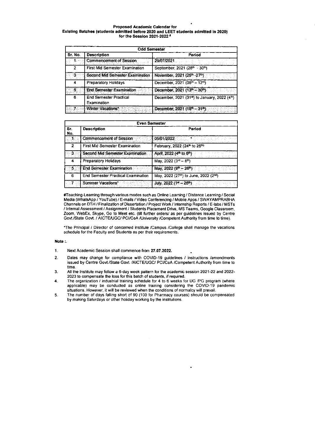## Proposed Academic Calendar for Existing Batches (students admitted before 2020 and LEET students admitted in 2020) for the Session 2021-2022<sup>#</sup>

| <b>Odd Semester</b> |                                              |                                                                        |  |  |
|---------------------|----------------------------------------------|------------------------------------------------------------------------|--|--|
| Sr. No.             | <b>Description</b>                           | Period                                                                 |  |  |
| ు1-ం                | Commencement of Session                      | 29/07/2021                                                             |  |  |
| 2                   | <b>First Mid Semester Examination</b>        | September, 2021 (28th - 30th)                                          |  |  |
| းဇ                  | Second Mid Semester Examination              | November, 2021 (25th - 27th)                                           |  |  |
| 4                   | Preparatory Holidays                         | December, 2021 (08th - 12th)                                           |  |  |
| -51                 | <b>End Semester Examination</b>              | December, 2021 (13th - 30th)                                           |  |  |
| 6                   | <b>End Semester Practical</b><br>Examination | December, 2021 (31 <sup>st</sup> ) to January, 2022 (4 <sup>th</sup> ) |  |  |
|                     | 7 Winter Vacations*                          | December, 2021 (18th - 31th)                                           |  |  |

| <b>Even Semester</b> |                                             |                                                                           |  |  |
|----------------------|---------------------------------------------|---------------------------------------------------------------------------|--|--|
| Sr.<br>No.           | <b>Description</b>                          | Period                                                                    |  |  |
|                      | Commencement of Session                     |                                                                           |  |  |
| 2                    | <b>First Mid Semester Examination</b>       | February, 2022 (24 <sup>th</sup> to 26 <sup>th)</sup>                     |  |  |
| ോ                    | Second Mid Semester Examination             | April, 2022 (4 <sup>th</sup> to 6 <sup>th</sup> )<br>经自定 化复合物 印度 化精神      |  |  |
| 4                    | <b>Preparatory Holidays</b>                 | May, 2022 (3rd - 8th)                                                     |  |  |
| ్రా                  | <b>End Semester Examination</b>             | May, $2022(9th - 26th)$<br>ान का अनुसार सम्बद्ध<br>अनुसार को प्राप्त करें |  |  |
| 6                    | <b>End Semester Practical Examination</b>   | May, 2022 (27th) to June, 2022 (2nd)                                      |  |  |
|                      | <b>REGISTER</b> STREET<br>Summer Vacations* | July, 2022 (1st - 26th) and the contract of the second of $\sim$          |  |  |

#Teaching-Learning through various modes such as Online Learning / Distance Learning / Social Media (WhatsApp / YouTube) / E-mails / Video Conferencing / Mobile Apps / SWAYAMPRABHA Channels on DTH / Finalization of Dissertation / Project Work / Internship Reports / E-labs / MSTs / Internal Assessment / Assignment / Students Placement Drive, MS Teams, Google Classroom, Zoom, WebEx, Skype, Go to Meet etc. (till further orders/ as per guidelines issued by Centre Govt./State Govt. / AICTE/UGC/ PCI/CoA /University /Competent Authority from time to time).

\*The Principal / Director of concerned institute /Campus /College shall manage the vacations schedule for the Faculty and Students as per their requirements.

## Note:

- $1.$ Next Academic Session shall commence from 27.07.2022.
- Dates may change for compliance with COVID-19 guidelines / instructions /amendments 2. issued by Centre Govt./State Govt. /AICTE/UGC/ PCI/CoA /Competent Authority from time to time.
- All the Institute may follow a 6-day week pattern for the academic session 2021-22 and 2022-2023 to compensate the loss for this batch of students, if required.  $3<sub>1</sub>$
- The organization / industrial training schedule for 4 to 6 weeks for UG /PG program (where 4. applicable) may be conducted as online training considering the COVID-19 pandemic situations. However, it will be reviewed when the conditions of normalcy will prevail.
- 5. The number of days falling short of 90 (100 for Pharmacy courses) should be compensated by making Saturdays or other holiday working by the institutions.